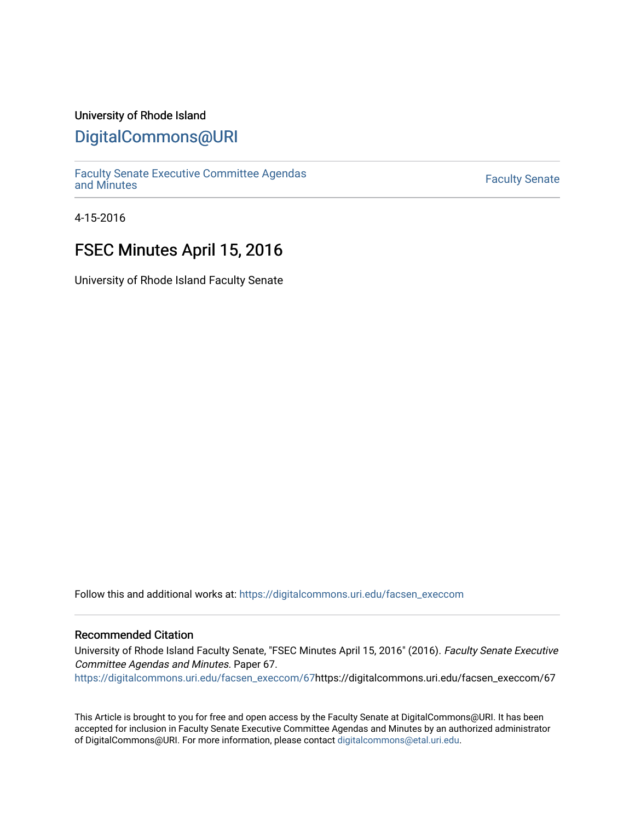### University of Rhode Island

### [DigitalCommons@URI](https://digitalcommons.uri.edu/)

[Faculty Senate Executive Committee Agendas](https://digitalcommons.uri.edu/facsen_execcom)  [and Minutes](https://digitalcommons.uri.edu/facsen_execcom) [Faculty Senate](https://digitalcommons.uri.edu/facsen) 

4-15-2016

# FSEC Minutes April 15, 2016

University of Rhode Island Faculty Senate

Follow this and additional works at: [https://digitalcommons.uri.edu/facsen\\_execcom](https://digitalcommons.uri.edu/facsen_execcom?utm_source=digitalcommons.uri.edu%2Ffacsen_execcom%2F67&utm_medium=PDF&utm_campaign=PDFCoverPages) 

#### Recommended Citation

University of Rhode Island Faculty Senate, "FSEC Minutes April 15, 2016" (2016). Faculty Senate Executive Committee Agendas and Minutes. Paper 67.

[https://digitalcommons.uri.edu/facsen\\_execcom/67h](https://digitalcommons.uri.edu/facsen_execcom/67?utm_source=digitalcommons.uri.edu%2Ffacsen_execcom%2F67&utm_medium=PDF&utm_campaign=PDFCoverPages)ttps://digitalcommons.uri.edu/facsen\_execcom/67

This Article is brought to you for free and open access by the Faculty Senate at DigitalCommons@URI. It has been accepted for inclusion in Faculty Senate Executive Committee Agendas and Minutes by an authorized administrator of DigitalCommons@URI. For more information, please contact [digitalcommons@etal.uri.edu](mailto:digitalcommons@etal.uri.edu).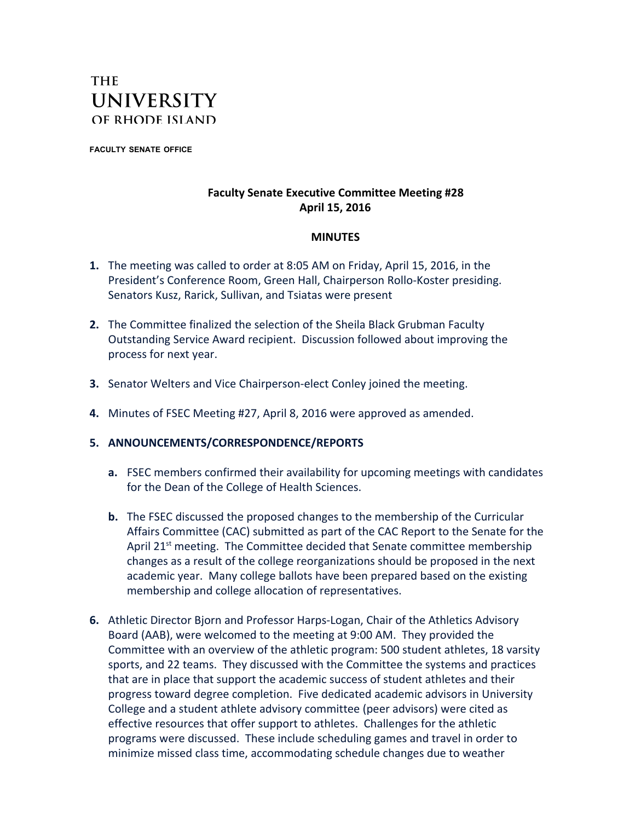## **THE UNIVERSITY** OF RHODE ISLAND

**FACULTY SENATE OFFICE**

### **Faculty Senate Executive Committee Meeting #28 April 15, 2016**

### **MINUTES**

- **1.** The meeting was called to order at 8:05 AM on Friday, April 15, 2016, in the President's Conference Room, Green Hall, Chairperson Rollo-Koster presiding. Senators Kusz, Rarick, Sullivan, and Tsiatas were present
- **2.** The Committee finalized the selection of the Sheila Black Grubman Faculty Outstanding Service Award recipient. Discussion followed about improving the process for next year.
- **3.** Senator Welters and Vice Chairperson-elect Conley joined the meeting.
- **4.** Minutes of FSEC Meeting #27, April 8, 2016 were approved as amended.

#### **5. ANNOUNCEMENTS/CORRESPONDENCE/REPORTS**

- **a.** FSEC members confirmed their availability for upcoming meetings with candidates for the Dean of the College of Health Sciences.
- **b.** The FSEC discussed the proposed changes to the membership of the Curricular Affairs Committee (CAC) submitted as part of the CAC Report to the Senate for the April 21<sup>st</sup> meeting. The Committee decided that Senate committee membership changes as a result of the college reorganizations should be proposed in the next academic year. Many college ballots have been prepared based on the existing membership and college allocation of representatives.
- **6.** Athletic Director Bjorn and Professor Harps-Logan, Chair of the Athletics Advisory Board (AAB), were welcomed to the meeting at 9:00 AM. They provided the Committee with an overview of the athletic program: 500 student athletes, 18 varsity sports, and 22 teams. They discussed with the Committee the systems and practices that are in place that support the academic success of student athletes and their progress toward degree completion. Five dedicated academic advisors in University College and a student athlete advisory committee (peer advisors) were cited as effective resources that offer support to athletes. Challenges for the athletic programs were discussed. These include scheduling games and travel in order to minimize missed class time, accommodating schedule changes due to weather